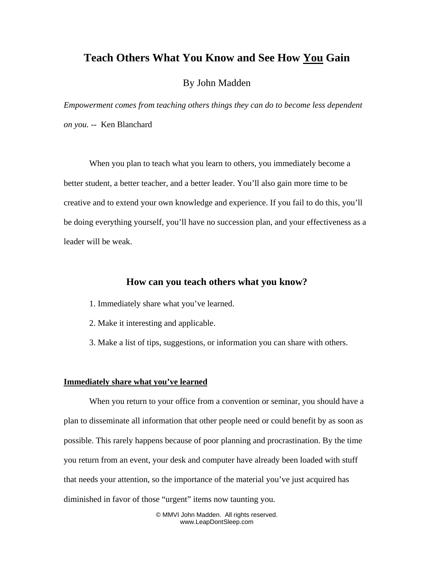# **Teach Others What You Know and See How You Gain**

## By John Madden

*Empowerment comes from teaching others things they can do to become less dependent on you. --* Ken Blanchard

When you plan to teach what you learn to others, you immediately become a better student, a better teacher, and a better leader. You'll also gain more time to be creative and to extend your own knowledge and experience. If you fail to do this, you'll be doing everything yourself, you'll have no succession plan, and your effectiveness as a leader will be weak.

## **How can you teach others what you know?**

- 1. Immediately share what you've learned.
- 2. Make it interesting and applicable.
- 3. Make a list of tips, suggestions, or information you can share with others.

### **Immediately share what you've learned**

When you return to your office from a convention or seminar, you should have a plan to disseminate all information that other people need or could benefit by as soon as possible. This rarely happens because of poor planning and procrastination. By the time you return from an event, your desk and computer have already been loaded with stuff that needs your attention, so the importance of the material you've just acquired has diminished in favor of those "urgent" items now taunting you.

> © MMVI John Madden. All rights reserved. www.LeapDontSleep.com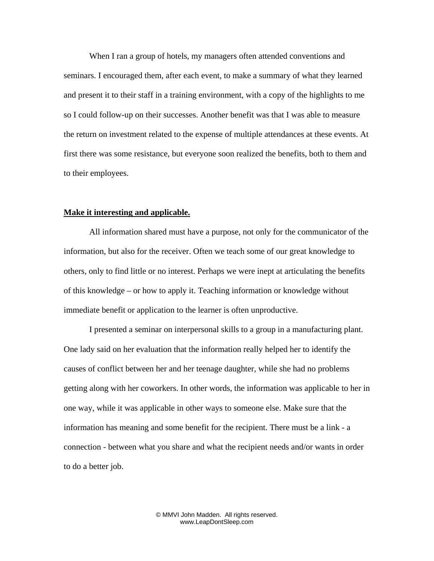When I ran a group of hotels, my managers often attended conventions and seminars. I encouraged them, after each event, to make a summary of what they learned and present it to their staff in a training environment, with a copy of the highlights to me so I could follow-up on their successes. Another benefit was that I was able to measure the return on investment related to the expense of multiple attendances at these events. At first there was some resistance, but everyone soon realized the benefits, both to them and to their employees.

#### **Make it interesting and applicable.**

All information shared must have a purpose, not only for the communicator of the information, but also for the receiver. Often we teach some of our great knowledge to others, only to find little or no interest. Perhaps we were inept at articulating the benefits of this knowledge – or how to apply it. Teaching information or knowledge without immediate benefit or application to the learner is often unproductive.

I presented a seminar on interpersonal skills to a group in a manufacturing plant. One lady said on her evaluation that the information really helped her to identify the causes of conflict between her and her teenage daughter, while she had no problems getting along with her coworkers. In other words, the information was applicable to her in one way, while it was applicable in other ways to someone else. Make sure that the information has meaning and some benefit for the recipient. There must be a link - a connection - between what you share and what the recipient needs and/or wants in order to do a better job.